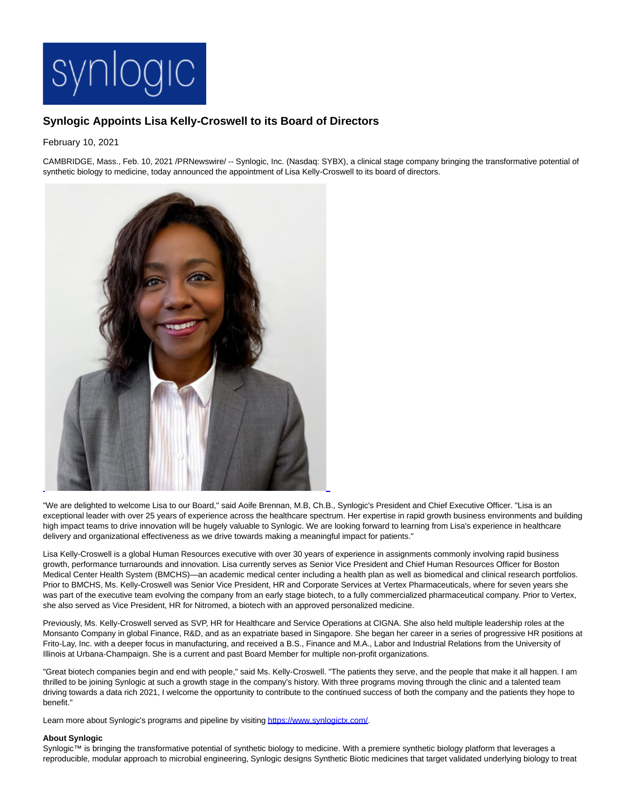

# **Synlogic Appoints Lisa Kelly-Croswell to its Board of Directors**

## February 10, 2021

CAMBRIDGE, Mass., Feb. 10, 2021 /PRNewswire/ -- Synlogic, Inc. (Nasdaq: SYBX), a clinical stage company bringing the transformative potential of synthetic biology to medicine, today announced the appointment of Lisa Kelly-Croswell to its board of directors.



"We are delighted to welcome Lisa to our Board," said Aoife Brennan, M.B, Ch.B., Synlogic's President and Chief Executive Officer. "Lisa is an exceptional leader with over 25 years of experience across the healthcare spectrum. Her expertise in rapid growth business environments and building high impact teams to drive innovation will be hugely valuable to Synlogic. We are looking forward to learning from Lisa's experience in healthcare delivery and organizational effectiveness as we drive towards making a meaningful impact for patients."

Lisa Kelly-Croswell is a global Human Resources executive with over 30 years of experience in assignments commonly involving rapid business growth, performance turnarounds and innovation. Lisa currently serves as Senior Vice President and Chief Human Resources Officer for Boston Medical Center Health System (BMCHS)—an academic medical center including a health plan as well as biomedical and clinical research portfolios. Prior to BMCHS, Ms. Kelly-Croswell was Senior Vice President, HR and Corporate Services at Vertex Pharmaceuticals, where for seven years she was part of the executive team evolving the company from an early stage biotech, to a fully commercialized pharmaceutical company. Prior to Vertex, she also served as Vice President, HR for Nitromed, a biotech with an approved personalized medicine.

Previously, Ms. Kelly-Croswell served as SVP, HR for Healthcare and Service Operations at CIGNA. She also held multiple leadership roles at the Monsanto Company in global Finance, R&D, and as an expatriate based in Singapore. She began her career in a series of progressive HR positions at Frito-Lay, Inc. with a deeper focus in manufacturing, and received a B.S., Finance and M.A., Labor and Industrial Relations from the University of Illinois at Urbana-Champaign. She is a current and past Board Member for multiple non-profit organizations.

"Great biotech companies begin and end with people," said Ms. Kelly-Croswell. "The patients they serve, and the people that make it all happen. I am thrilled to be joining Synlogic at such a growth stage in the company's history. With three programs moving through the clinic and a talented team driving towards a data rich 2021, I welcome the opportunity to contribute to the continued success of both the company and the patients they hope to benefit."

Learn more about Synlogic's programs and pipeline by visitin[g https://www.synlogictx.com/.](https://c212.net/c/link/?t=0&l=en&o=3063735-1&h=2681836114&u=https%3A%2F%2Fwww.synlogictx.com%2F&a=https%3A%2F%2Fwww.synlogictx.com%2F)

### **About Synlogic**

Synlogic<sup>™</sup> is bringing the transformative potential of synthetic biology to medicine. With a premiere synthetic biology platform that leverages a reproducible, modular approach to microbial engineering, Synlogic designs Synthetic Biotic medicines that target validated underlying biology to treat